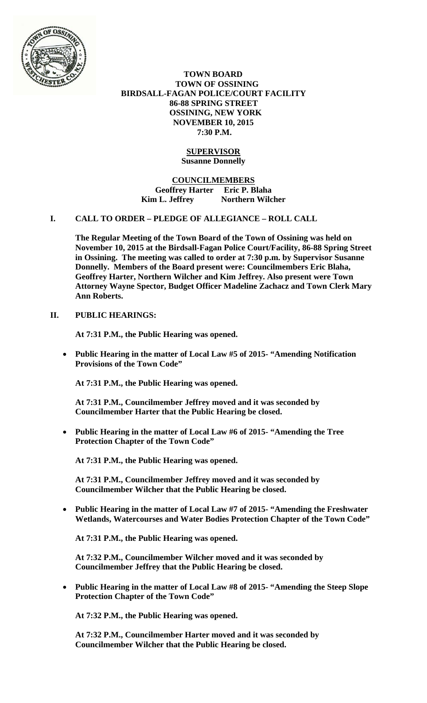

 **TOWN BOARD TOWN OF OSSINING BIRDSALL-FAGAN POLICE/COURT FACILITY 86-88 SPRING STREET OSSINING, NEW YORK NOVEMBER 10, 2015 7:30 P.M.** 

## **SUPERVISOR Susanne Donnelly**

### **COUNCILMEMBERS Geoffrey Harter Eric P. Blaha Kim L. Jeffrey Northern Wilcher**

### **I. CALL TO ORDER – PLEDGE OF ALLEGIANCE – ROLL CALL**

**The Regular Meeting of the Town Board of the Town of Ossining was held on November 10, 2015 at the Birdsall-Fagan Police Court/Facility, 86-88 Spring Street in Ossining. The meeting was called to order at 7:30 p.m. by Supervisor Susanne Donnelly. Members of the Board present were: Councilmembers Eric Blaha, Geoffrey Harter, Northern Wilcher and Kim Jeffrey. Also present were Town Attorney Wayne Spector, Budget Officer Madeline Zachacz and Town Clerk Mary Ann Roberts.** 

## **II. PUBLIC HEARINGS:**

**At 7:31 P.M., the Public Hearing was opened.** 

 **Public Hearing in the matter of Local Law #5 of 2015- "Amending Notification Provisions of the Town Code"** 

**At 7:31 P.M., the Public Hearing was opened.** 

**At 7:31 P.M., Councilmember Jeffrey moved and it was seconded by Councilmember Harter that the Public Hearing be closed.**

 **Public Hearing in the matter of Local Law #6 of 2015- "Amending the Tree Protection Chapter of the Town Code"** 

**At 7:31 P.M., the Public Hearing was opened.** 

**At 7:31 P.M., Councilmember Jeffrey moved and it was seconded by Councilmember Wilcher that the Public Hearing be closed.**

 **Public Hearing in the matter of Local Law #7 of 2015- "Amending the Freshwater Wetlands, Watercourses and Water Bodies Protection Chapter of the Town Code"** 

**At 7:31 P.M., the Public Hearing was opened.** 

**At 7:32 P.M., Councilmember Wilcher moved and it was seconded by Councilmember Jeffrey that the Public Hearing be closed.**

 **Public Hearing in the matter of Local Law #8 of 2015- "Amending the Steep Slope Protection Chapter of the Town Code"** 

**At 7:32 P.M., the Public Hearing was opened.** 

**At 7:32 P.M., Councilmember Harter moved and it was seconded by Councilmember Wilcher that the Public Hearing be closed.**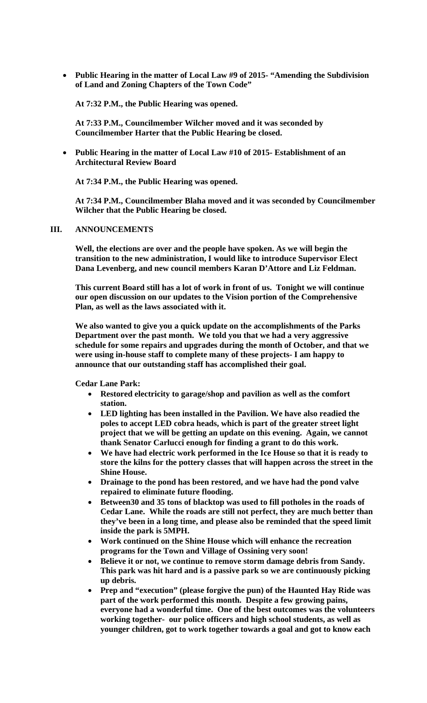**Public Hearing in the matter of Local Law #9 of 2015- "Amending the Subdivision of Land and Zoning Chapters of the Town Code"**

**At 7:32 P.M., the Public Hearing was opened.** 

**At 7:33 P.M., Councilmember Wilcher moved and it was seconded by Councilmember Harter that the Public Hearing be closed.**

 **Public Hearing in the matter of Local Law #10 of 2015- Establishment of an Architectural Review Board** 

**At 7:34 P.M., the Public Hearing was opened.** 

**At 7:34 P.M., Councilmember Blaha moved and it was seconded by Councilmember Wilcher that the Public Hearing be closed.**

### **III. ANNOUNCEMENTS**

**Well, the elections are over and the people have spoken. As we will begin the transition to the new administration, I would like to introduce Supervisor Elect Dana Levenberg, and new council members Karan D'Attore and Liz Feldman.** 

**This current Board still has a lot of work in front of us. Tonight we will continue our open discussion on our updates to the Vision portion of the Comprehensive Plan, as well as the laws associated with it.** 

**We also wanted to give you a quick update on the accomplishments of the Parks Department over the past month. We told you that we had a very aggressive schedule for some repairs and upgrades during the month of October, and that we were using in-house staff to complete many of these projects- I am happy to announce that our outstanding staff has accomplished their goal.** 

**Cedar Lane Park:** 

- **Restored electricity to garage/shop and pavilion as well as the comfort station.**
- **LED lighting has been installed in the Pavilion. We have also readied the poles to accept LED cobra heads, which is part of the greater street light project that we will be getting an update on this evening. Again, we cannot thank Senator Carlucci enough for finding a grant to do this work.**
- **We have had electric work performed in the Ice House so that it is ready to store the kilns for the pottery classes that will happen across the street in the Shine House.**
- **Drainage to the pond has been restored, and we have had the pond valve repaired to eliminate future flooding.**
- **Between30 and 35 tons of blacktop was used to fill potholes in the roads of Cedar Lane. While the roads are still not perfect, they are much better than they've been in a long time, and please also be reminded that the speed limit inside the park is 5MPH.**
- **Work continued on the Shine House which will enhance the recreation programs for the Town and Village of Ossining very soon!**
- **Believe it or not, we continue to remove storm damage debris from Sandy. This park was hit hard and is a passive park so we are continuously picking up debris.**
- **Prep and "execution" (please forgive the pun) of the Haunted Hay Ride was part of the work performed this month. Despite a few growing pains, everyone had a wonderful time. One of the best outcomes was the volunteers working together- our police officers and high school students, as well as younger children, got to work together towards a goal and got to know each**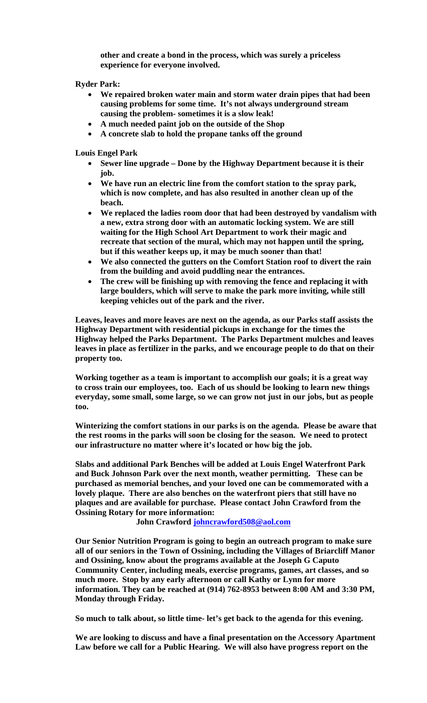**other and create a bond in the process, which was surely a priceless experience for everyone involved.** 

**Ryder Park:** 

- **We repaired broken water main and storm water drain pipes that had been causing problems for some time. It's not always underground stream causing the problem- sometimes it is a slow leak!**
- **A much needed paint job on the outside of the Shop**
- **A concrete slab to hold the propane tanks off the ground**

**Louis Engel Park** 

- **Sewer line upgrade Done by the Highway Department because it is their job.**
- **We have run an electric line from the comfort station to the spray park, which is now complete, and has also resulted in another clean up of the beach.**
- **We replaced the ladies room door that had been destroyed by vandalism with a new, extra strong door with an automatic locking system. We are still waiting for the High School Art Department to work their magic and recreate that section of the mural, which may not happen until the spring, but if this weather keeps up, it may be much sooner than that!**
- **We also connected the gutters on the Comfort Station roof to divert the rain from the building and avoid puddling near the entrances.**
- **The crew will be finishing up with removing the fence and replacing it with large boulders, which will serve to make the park more inviting, while still keeping vehicles out of the park and the river.**

**Leaves, leaves and more leaves are next on the agenda, as our Parks staff assists the Highway Department with residential pickups in exchange for the times the Highway helped the Parks Department. The Parks Department mulches and leaves leaves in place as fertilizer in the parks, and we encourage people to do that on their property too.** 

**Working together as a team is important to accomplish our goals; it is a great way to cross train our employees, too. Each of us should be looking to learn new things everyday, some small, some large, so we can grow not just in our jobs, but as people too.** 

**Winterizing the comfort stations in our parks is on the agenda. Please be aware that the rest rooms in the parks will soon be closing for the season. We need to protect our infrastructure no matter where it's located or how big the job.** 

**Slabs and additional Park Benches will be added at Louis Engel Waterfront Park and Buck Johnson Park over the next month, weather permitting. These can be purchased as memorial benches, and your loved one can be commemorated with a lovely plaque. There are also benches on the waterfront piers that still have no plaques and are available for purchase. Please contact John Crawford from the Ossining Rotary for more information:** 

**John Crawford johncrawford508@aol.com**

**Our Senior Nutrition Program is going to begin an outreach program to make sure all of our seniors in the Town of Ossining, including the Villages of Briarcliff Manor and Ossining, know about the programs available at the Joseph G Caputo Community Center, including meals, exercise programs, games, art classes, and so much more. Stop by any early afternoon or call Kathy or Lynn for more information. They can be reached at (914) 762-8953 between 8:00 AM and 3:30 PM, Monday through Friday.** 

**So much to talk about, so little time- let's get back to the agenda for this evening.** 

**We are looking to discuss and have a final presentation on the Accessory Apartment Law before we call for a Public Hearing. We will also have progress report on the**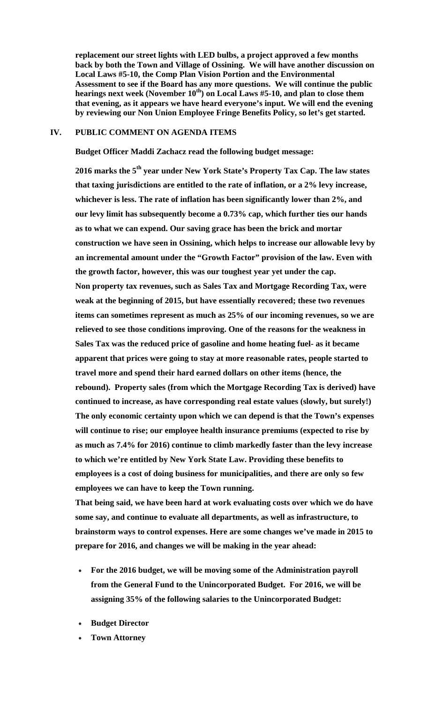**replacement our street lights with LED bulbs, a project approved a few months back by both the Town and Village of Ossining. We will have another discussion on Local Laws #5-10, the Comp Plan Vision Portion and the Environmental Assessment to see if the Board has any more questions. We will continue the public hearings next week (November 10th) on Local Laws #5-10, and plan to close them that evening, as it appears we have heard everyone's input. We will end the evening by reviewing our Non Union Employee Fringe Benefits Policy, so let's get started.** 

### **IV. PUBLIC COMMENT ON AGENDA ITEMS**

**Budget Officer Maddi Zachacz read the following budget message:** 

**2016 marks the 5th year under New York State's Property Tax Cap. The law states that taxing jurisdictions are entitled to the rate of inflation, or a 2% levy increase, whichever is less. The rate of inflation has been significantly lower than 2%, and our levy limit has subsequently become a 0.73% cap, which further ties our hands as to what we can expend. Our saving grace has been the brick and mortar construction we have seen in Ossining, which helps to increase our allowable levy by an incremental amount under the "Growth Factor" provision of the law. Even with the growth factor, however, this was our toughest year yet under the cap. Non property tax revenues, such as Sales Tax and Mortgage Recording Tax, were weak at the beginning of 2015, but have essentially recovered; these two revenues items can sometimes represent as much as 25% of our incoming revenues, so we are relieved to see those conditions improving. One of the reasons for the weakness in Sales Tax was the reduced price of gasoline and home heating fuel- as it became apparent that prices were going to stay at more reasonable rates, people started to travel more and spend their hard earned dollars on other items (hence, the rebound). Property sales (from which the Mortgage Recording Tax is derived) have continued to increase, as have corresponding real estate values (slowly, but surely!) The only economic certainty upon which we can depend is that the Town's expenses will continue to rise; our employee health insurance premiums (expected to rise by as much as 7.4% for 2016) continue to climb markedly faster than the levy increase to which we're entitled by New York State Law. Providing these benefits to employees is a cost of doing business for municipalities, and there are only so few employees we can have to keep the Town running.** 

**That being said, we have been hard at work evaluating costs over which we do have some say, and continue to evaluate all departments, as well as infrastructure, to brainstorm ways to control expenses. Here are some changes we've made in 2015 to prepare for 2016, and changes we will be making in the year ahead:**

- **For the 2016 budget, we will be moving some of the Administration payroll from the General Fund to the Unincorporated Budget. For 2016, we will be assigning 35% of the following salaries to the Unincorporated Budget:**
- **Budget Director**
- **Town Attorney**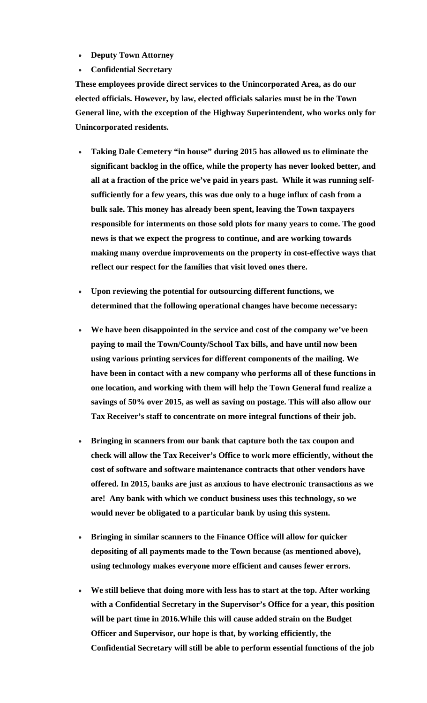- **Deputy Town Attorney**
- **Confidential Secretary**

**These employees provide direct services to the Unincorporated Area, as do our elected officials. However, by law, elected officials salaries must be in the Town General line, with the exception of the Highway Superintendent, who works only for Unincorporated residents.**

- **Taking Dale Cemetery "in house" during 2015 has allowed us to eliminate the significant backlog in the office, while the property has never looked better, and all at a fraction of the price we've paid in years past. While it was running selfsufficiently for a few years, this was due only to a huge influx of cash from a bulk sale. This money has already been spent, leaving the Town taxpayers responsible for interments on those sold plots for many years to come. The good news is that we expect the progress to continue, and are working towards making many overdue improvements on the property in cost-effective ways that reflect our respect for the families that visit loved ones there.**
- **Upon reviewing the potential for outsourcing different functions, we determined that the following operational changes have become necessary:**
- **We have been disappointed in the service and cost of the company we've been paying to mail the Town/County/School Tax bills, and have until now been using various printing services for different components of the mailing. We have been in contact with a new company who performs all of these functions in one location, and working with them will help the Town General fund realize a savings of 50% over 2015, as well as saving on postage. This will also allow our Tax Receiver's staff to concentrate on more integral functions of their job.**
- **Bringing in scanners from our bank that capture both the tax coupon and check will allow the Tax Receiver's Office to work more efficiently, without the cost of software and software maintenance contracts that other vendors have offered. In 2015, banks are just as anxious to have electronic transactions as we are! Any bank with which we conduct business uses this technology, so we would never be obligated to a particular bank by using this system.**
- **Bringing in similar scanners to the Finance Office will allow for quicker depositing of all payments made to the Town because (as mentioned above), using technology makes everyone more efficient and causes fewer errors.**
- **We still believe that doing more with less has to start at the top. After working with a Confidential Secretary in the Supervisor's Office for a year, this position will be part time in 2016.While this will cause added strain on the Budget Officer and Supervisor, our hope is that, by working efficiently, the Confidential Secretary will still be able to perform essential functions of the job**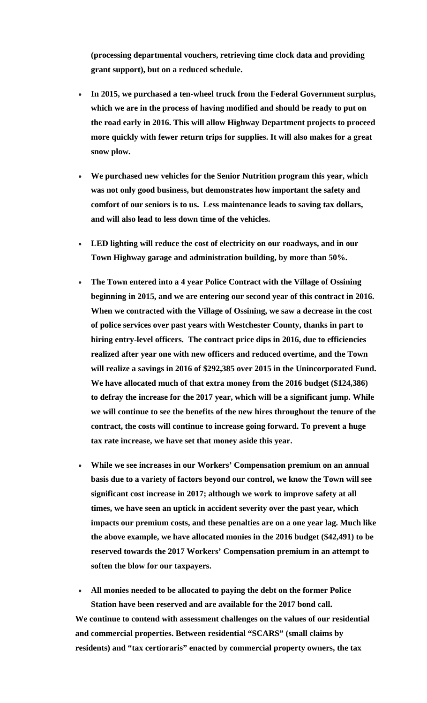**(processing departmental vouchers, retrieving time clock data and providing grant support), but on a reduced schedule.** 

- **In 2015, we purchased a ten-wheel truck from the Federal Government surplus, which we are in the process of having modified and should be ready to put on the road early in 2016. This will allow Highway Department projects to proceed more quickly with fewer return trips for supplies. It will also makes for a great snow plow.**
- **We purchased new vehicles for the Senior Nutrition program this year, which was not only good business, but demonstrates how important the safety and comfort of our seniors is to us. Less maintenance leads to saving tax dollars, and will also lead to less down time of the vehicles.**
- **LED lighting will reduce the cost of electricity on our roadways, and in our Town Highway garage and administration building, by more than 50%.**
- **The Town entered into a 4 year Police Contract with the Village of Ossining beginning in 2015, and we are entering our second year of this contract in 2016. When we contracted with the Village of Ossining, we saw a decrease in the cost of police services over past years with Westchester County, thanks in part to hiring entry-level officers. The contract price dips in 2016, due to efficiencies realized after year one with new officers and reduced overtime, and the Town will realize a savings in 2016 of \$292,385 over 2015 in the Unincorporated Fund. We have allocated much of that extra money from the 2016 budget (\$124,386) to defray the increase for the 2017 year, which will be a significant jump. While we will continue to see the benefits of the new hires throughout the tenure of the contract, the costs will continue to increase going forward. To prevent a huge tax rate increase, we have set that money aside this year.**
- **While we see increases in our Workers' Compensation premium on an annual basis due to a variety of factors beyond our control, we know the Town will see significant cost increase in 2017; although we work to improve safety at all times, we have seen an uptick in accident severity over the past year, which impacts our premium costs, and these penalties are on a one year lag. Much like the above example, we have allocated monies in the 2016 budget (\$42,491) to be reserved towards the 2017 Workers' Compensation premium in an attempt to soften the blow for our taxpayers.**

 **All monies needed to be allocated to paying the debt on the former Police Station have been reserved and are available for the 2017 bond call. We continue to contend with assessment challenges on the values of our residential and commercial properties. Between residential "SCARS" (small claims by residents) and "tax certioraris" enacted by commercial property owners, the tax**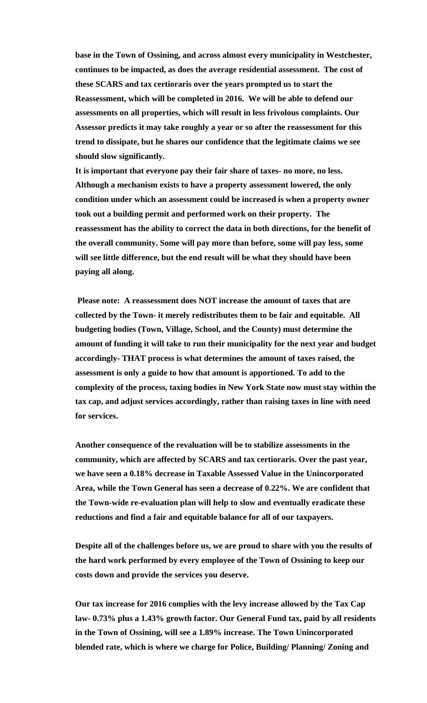**base in the Town of Ossining, and across almost every municipality in Westchester, continues to be impacted, as does the average residential assessment. The cost of these SCARS and tax certioraris over the years prompted us to start the Reassessment, which will be completed in 2016. We will be able to defend our assessments on all properties, which will result in less frivolous complaints. Our Assessor predicts it may take roughly a year or so after the reassessment for this trend to dissipate, but he shares our confidence that the legitimate claims we see should slow significantly.**

**It is important that everyone pay their fair share of taxes- no more, no less. Although a mechanism exists to have a property assessment lowered, the only condition under which an assessment could be increased is when a property owner took out a building permit and performed work on their property. The reassessment has the ability to correct the data in both directions, for the benefit of the overall community. Some will pay more than before, some will pay less, some will see little difference, but the end result will be what they should have been paying all along.** 

**Please note: A reassessment does NOT increase the amount of taxes that are collected by the Town- it merely redistributes them to be fair and equitable. All budgeting bodies (Town, Village, School, and the County) must determine the amount of funding it will take to run their municipality for the next year and budget accordingly- THAT process is what determines the amount of taxes raised, the assessment is only a guide to how that amount is apportioned. To add to the complexity of the process, taxing bodies in New York State now must stay within the tax cap, and adjust services accordingly, rather than raising taxes in line with need for services.** 

**Another consequence of the revaluation will be to stabilize assessments in the community, which are affected by SCARS and tax certioraris. Over the past year, we have seen a 0.18% decrease in Taxable Assessed Value in the Unincorporated Area, while the Town General has seen a decrease of 0.22%. We are confident that the Town-wide re-evaluation plan will help to slow and eventually eradicate these reductions and find a fair and equitable balance for all of our taxpayers.**

**Despite all of the challenges before us, we are proud to share with you the results of the hard work performed by every employee of the Town of Ossining to keep our costs down and provide the services you deserve.**

**Our tax increase for 2016 complies with the levy increase allowed by the Tax Cap law- 0.73% plus a 1.43% growth factor. Our General Fund tax, paid by all residents in the Town of Ossining, will see a 1.89% increase. The Town Unincorporated blended rate, which is where we charge for Police, Building/ Planning/ Zoning and**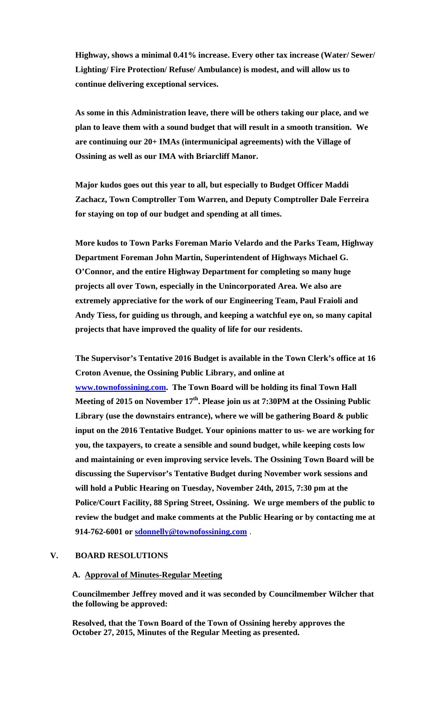**Highway, shows a minimal 0.41% increase. Every other tax increase (Water/ Sewer/ Lighting/ Fire Protection/ Refuse/ Ambulance) is modest, and will allow us to continue delivering exceptional services.** 

**As some in this Administration leave, there will be others taking our place, and we plan to leave them with a sound budget that will result in a smooth transition. We are continuing our 20+ IMAs (intermunicipal agreements) with the Village of Ossining as well as our IMA with Briarcliff Manor.** 

**Major kudos goes out this year to all, but especially to Budget Officer Maddi Zachacz, Town Comptroller Tom Warren, and Deputy Comptroller Dale Ferreira for staying on top of our budget and spending at all times.**

**More kudos to Town Parks Foreman Mario Velardo and the Parks Team, Highway Department Foreman John Martin, Superintendent of Highways Michael G. O'Connor, and the entire Highway Department for completing so many huge projects all over Town, especially in the Unincorporated Area. We also are extremely appreciative for the work of our Engineering Team, Paul Fraioli and Andy Tiess, for guiding us through, and keeping a watchful eye on, so many capital projects that have improved the quality of life for our residents.**

**The Supervisor's Tentative 2016 Budget is available in the Town Clerk's office at 16 Croton Avenue, the Ossining Public Library, and online at www.townofossining.com. The Town Board will be holding its final Town Hall**  Meeting of 2015 on November 17<sup>th</sup>. Please join us at 7:30PM at the Ossining Public **Library (use the downstairs entrance), where we will be gathering Board & public input on the 2016 Tentative Budget. Your opinions matter to us- we are working for you, the taxpayers, to create a sensible and sound budget, while keeping costs low and maintaining or even improving service levels. The Ossining Town Board will be discussing the Supervisor's Tentative Budget during November work sessions and will hold a Public Hearing on Tuesday, November 24th, 2015, 7:30 pm at the Police/Court Facility, 88 Spring Street, Ossining. We urge members of the public to review the budget and make comments at the Public Hearing or by contacting me at 914-762-6001 or sdonnelly@townofossining.com** .

#### **V. BOARD RESOLUTIONS**

#### **A. Approval of Minutes-Regular Meeting**

**Councilmember Jeffrey moved and it was seconded by Councilmember Wilcher that the following be approved:** 

**Resolved, that the Town Board of the Town of Ossining hereby approves the October 27, 2015, Minutes of the Regular Meeting as presented.**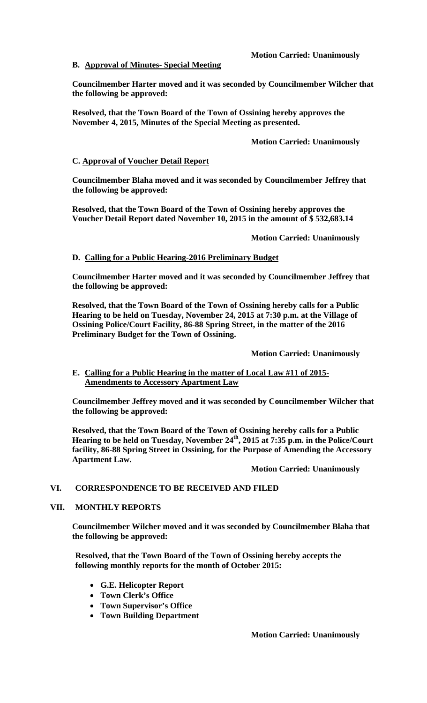**Motion Carried: Unanimously** 

## **B. Approval of Minutes- Special Meeting**

**Councilmember Harter moved and it was seconded by Councilmember Wilcher that the following be approved:** 

**Resolved, that the Town Board of the Town of Ossining hereby approves the November 4, 2015, Minutes of the Special Meeting as presented.** 

## **Motion Carried: Unanimously**

## **C. Approval of Voucher Detail Report**

**Councilmember Blaha moved and it was seconded by Councilmember Jeffrey that the following be approved:** 

**Resolved, that the Town Board of the Town of Ossining hereby approves the Voucher Detail Report dated November 10, 2015 in the amount of \$ 532,683.14**

 **Motion Carried: Unanimously** 

## **D. Calling for a Public Hearing-2016 Preliminary Budget**

**Councilmember Harter moved and it was seconded by Councilmember Jeffrey that the following be approved:** 

**Resolved, that the Town Board of the Town of Ossining hereby calls for a Public Hearing to be held on Tuesday, November 24, 2015 at 7:30 p.m. at the Village of Ossining Police/Court Facility, 86-88 Spring Street, in the matter of the 2016 Preliminary Budget for the Town of Ossining.** 

 **Motion Carried: Unanimously** 

## **E. Calling for a Public Hearing in the matter of Local Law #11 of 2015- Amendments to Accessory Apartment Law**

**Councilmember Jeffrey moved and it was seconded by Councilmember Wilcher that the following be approved:** 

**Resolved, that the Town Board of the Town of Ossining hereby calls for a Public Hearing to be held on Tuesday, November 24th, 2015 at 7:35 p.m. in the Police/Court facility, 86-88 Spring Street in Ossining, for the Purpose of Amending the Accessory Apartment Law.** 

 **Motion Carried: Unanimously**

# **VI. CORRESPONDENCE TO BE RECEIVED AND FILED**

### **VII. MONTHLY REPORTS**

**Councilmember Wilcher moved and it was seconded by Councilmember Blaha that the following be approved:** 

**Resolved, that the Town Board of the Town of Ossining hereby accepts the following monthly reports for the month of October 2015:** 

- **G.E. Helicopter Report**
- **Town Clerk's Office**
- **Town Supervisor's Office**
- **Town Building Department**